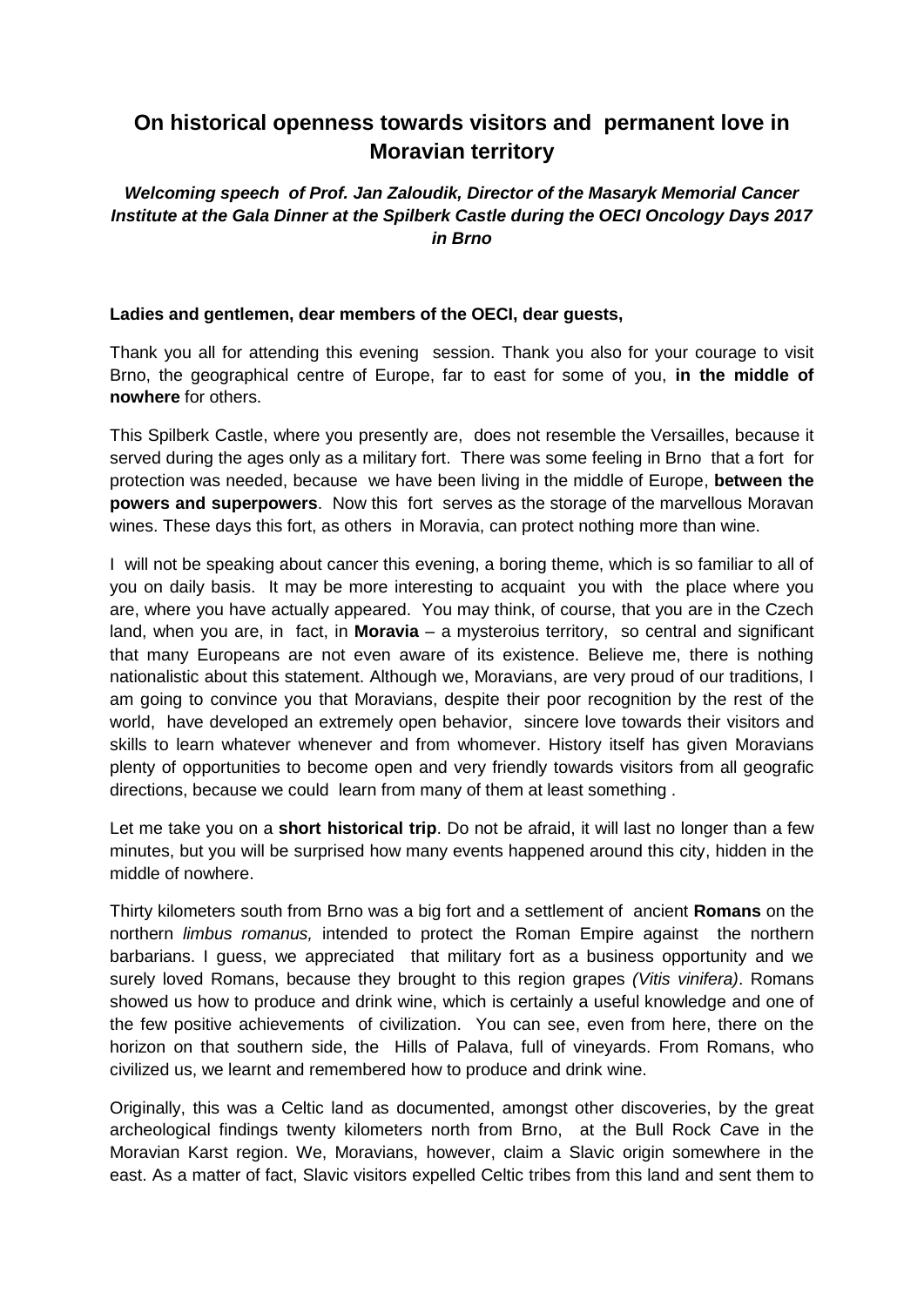## **On historical openness towards visitors and permanent love in Moravian territory**

*Welcoming speech of Prof. Jan Zaloudik, Director of the Masaryk Memorial Cancer Institute at the Gala Dinner at the Spilberk Castle during the OECI Oncology Days 2017 in Brno*

## **Ladies and gentlemen, dear members of the OECI, dear guests,**

Thank you all for attending this evening session. Thank you also for your courage to visit Brno, the geographical centre of Europe, far to east for some of you, **in the middle of nowhere** for others.

This Spilberk Castle, where you presently are, does not resemble the Versailles, because it served during the ages only as a military fort. There was some feeling in Brno that a fort for protection was needed, because we have been living in the middle of Europe, **between the powers and superpowers**. Now this fort serves as the storage of the marvellous Moravan wines. These days this fort, as others in Moravia, can protect nothing more than wine.

I will not be speaking about cancer this evening, a boring theme, which is so familiar to all of you on daily basis. It may be more interesting to acquaint you with the place where you are, where you have actually appeared. You may think, of course, that you are in the Czech land, when you are, in fact, in **Moravia** – a mysteroius territory, so central and significant that many Europeans are not even aware of its existence. Believe me, there is nothing nationalistic about this statement. Although we, Moravians, are very proud of our traditions, I am going to convince you that Moravians, despite their poor recognition by the rest of the world, have developed an extremely open behavior, sincere love towards their visitors and skills to learn whatever whenever and from whomever. History itself has given Moravians plenty of opportunities to become open and very friendly towards visitors from all geografic directions, because we could learn from many of them at least something .

Let me take you on a **short historical trip**. Do not be afraid, it will last no longer than a few minutes, but you will be surprised how many events happened around this city, hidden in the middle of nowhere.

Thirty kilometers south from Brno was a big fort and a settlement of ancient **Romans** on the northern *limbus romanus,* intended to protect the Roman Empire against the northern barbarians. I guess, we appreciated that military fort as a business opportunity and we surely loved Romans, because they brought to this region grapes *(Vitis vinifera)*. Romans showed us how to produce and drink wine, which is certainly a useful knowledge and one of the few positive achievements of civilization. You can see, even from here, there on the horizon on that southern side, the Hills of Palava, full of vineyards. From Romans, who civilized us, we learnt and remembered how to produce and drink wine.

Originally, this was a Celtic land as documented, amongst other discoveries, by the great archeological findings twenty kilometers north from Brno, at the Bull Rock Cave in the Moravian Karst region. We, Moravians, however, claim a Slavic origin somewhere in the east. As a matter of fact, Slavic visitors expelled Celtic tribes from this land and sent them to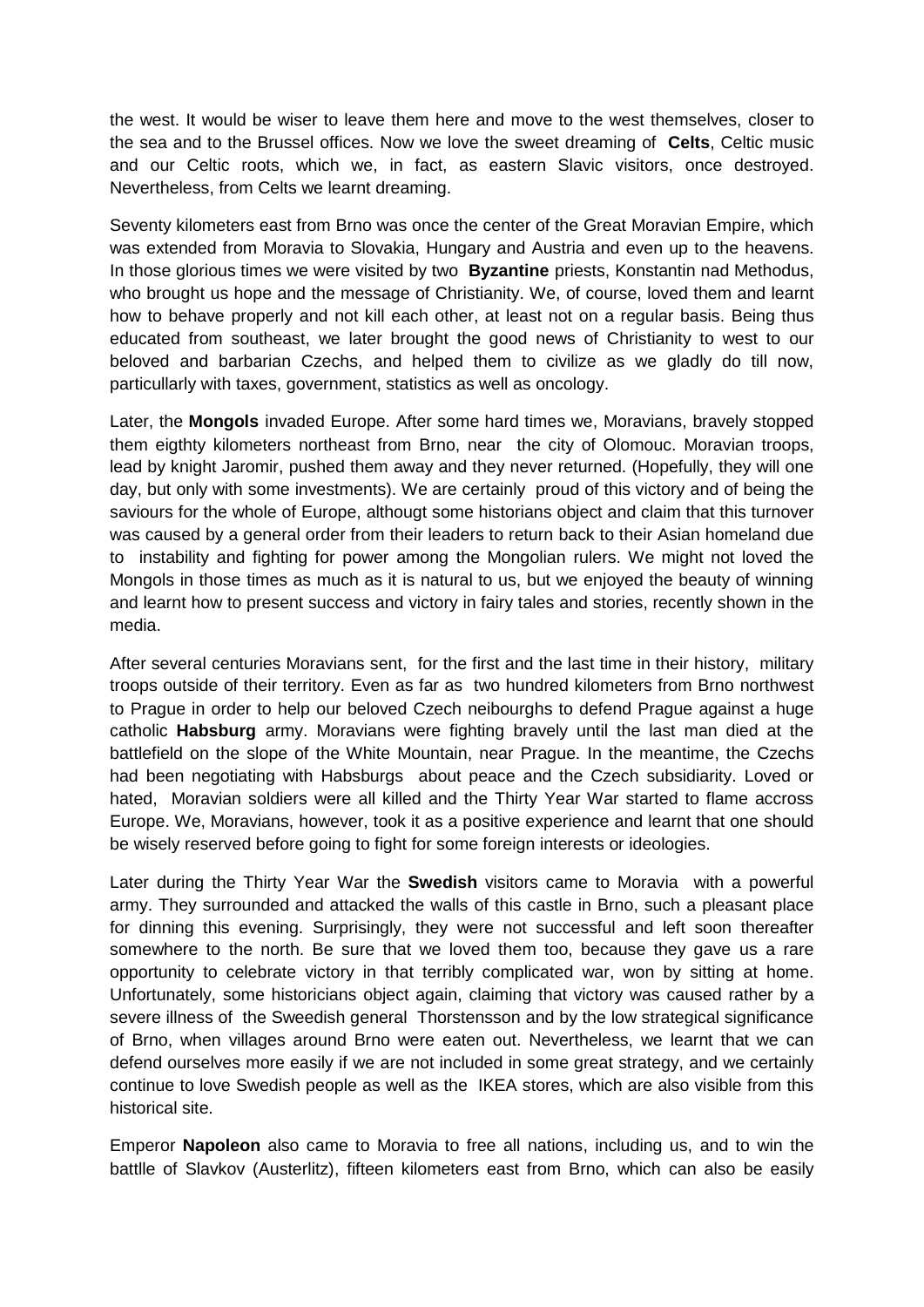the west. It would be wiser to leave them here and move to the west themselves, closer to the sea and to the Brussel offices. Now we love the sweet dreaming of **Celts**, Celtic music and our Celtic roots, which we, in fact, as eastern Slavic visitors, once destroyed. Nevertheless, from Celts we learnt dreaming.

Seventy kilometers east from Brno was once the center of the Great Moravian Empire, which was extended from Moravia to Slovakia, Hungary and Austria and even up to the heavens. In those glorious times we were visited by two **Byzantine** priests, Konstantin nad Methodus, who brought us hope and the message of Christianity. We, of course, loved them and learnt how to behave properly and not kill each other, at least not on a regular basis. Being thus educated from southeast, we later brought the good news of Christianity to west to our beloved and barbarian Czechs, and helped them to civilize as we gladly do till now, particullarly with taxes, government, statistics as well as oncology.

Later, the **Mongols** invaded Europe. After some hard times we, Moravians, bravely stopped them eigthty kilometers northeast from Brno, near the city of Olomouc. Moravian troops, lead by knight Jaromir, pushed them away and they never returned. (Hopefully, they will one day, but only with some investments). We are certainly proud of this victory and of being the saviours for the whole of Europe, althougt some historians object and claim that this turnover was caused by a general order from their leaders to return back to their Asian homeland due to instability and fighting for power among the Mongolian rulers. We might not loved the Mongols in those times as much as it is natural to us, but we enjoyed the beauty of winning and learnt how to present success and victory in fairy tales and stories, recently shown in the media.

After several centuries Moravians sent, for the first and the last time in their history, military troops outside of their territory. Even as far as two hundred kilometers from Brno northwest to Prague in order to help our beloved Czech neibourghs to defend Prague against a huge catholic **Habsburg** army. Moravians were fighting bravely until the last man died at the battlefield on the slope of the White Mountain, near Prague. In the meantime, the Czechs had been negotiating with Habsburgs about peace and the Czech subsidiarity. Loved or hated, Moravian soldiers were all killed and the Thirty Year War started to flame accross Europe. We, Moravians, however, took it as a positive experience and learnt that one should be wisely reserved before going to fight for some foreign interests or ideologies.

Later during the Thirty Year War the **Swedish** visitors came to Moravia with a powerful army. They surrounded and attacked the walls of this castle in Brno, such a pleasant place for dinning this evening. Surprisingly, they were not successful and left soon thereafter somewhere to the north. Be sure that we loved them too, because they gave us a rare opportunity to celebrate victory in that terribly complicated war, won by sitting at home. Unfortunately, some historicians object again, claiming that victory was caused rather by a severe illness of the Sweedish general Thorstensson and by the low strategical significance of Brno, when villages around Brno were eaten out. Nevertheless, we learnt that we can defend ourselves more easily if we are not included in some great strategy, and we certainly continue to love Swedish people as well as the IKEA stores, which are also visible from this historical site.

Emperor **Napoleon** also came to Moravia to free all nations, including us, and to win the battlle of Slavkov (Austerlitz), fifteen kilometers east from Brno, which can also be easily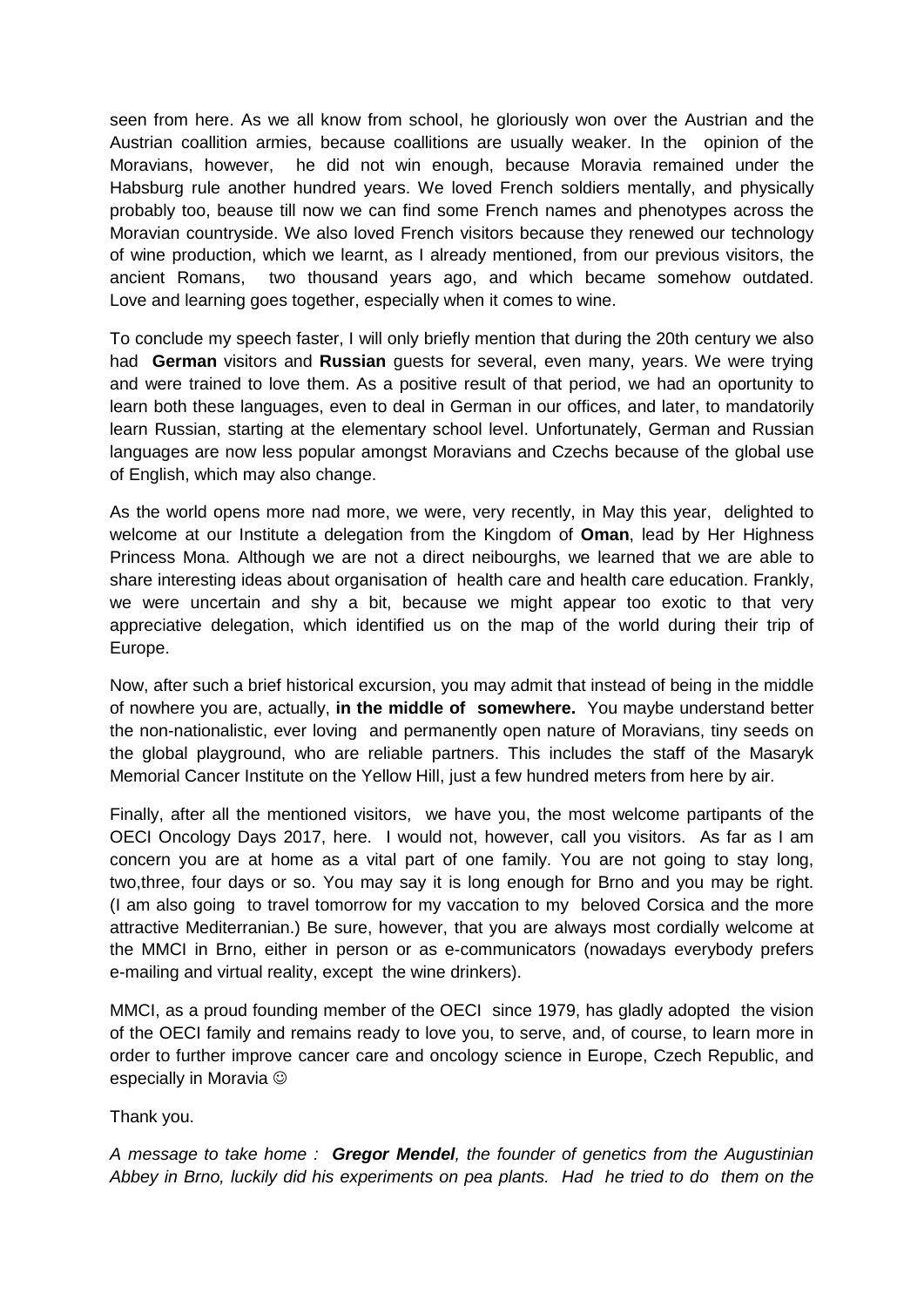seen from here. As we all know from school, he gloriously won over the Austrian and the Austrian coallition armies, because coallitions are usually weaker. In the opinion of the Moravians, however, he did not win enough, because Moravia remained under the Habsburg rule another hundred years. We loved French soldiers mentally, and physically probably too, beause till now we can find some French names and phenotypes across the Moravian countryside. We also loved French visitors because they renewed our technology of wine production, which we learnt, as I already mentioned, from our previous visitors, the ancient Romans, two thousand years ago, and which became somehow outdated. Love and learning goes together, especially when it comes to wine.

To conclude my speech faster, I will only briefly mention that during the 20th century we also had **German** visitors and **Russian** guests for several, even many, years. We were trying and were trained to love them. As a positive result of that period, we had an oportunity to learn both these languages, even to deal in German in our offices, and later, to mandatorily learn Russian, starting at the elementary school level. Unfortunately, German and Russian languages are now less popular amongst Moravians and Czechs because of the global use of English, which may also change.

As the world opens more nad more, we were, very recently, in May this year, delighted to welcome at our Institute a delegation from the Kingdom of **Oman**, lead by Her Highness Princess Mona. Although we are not a direct neibourghs, we learned that we are able to share interesting ideas about organisation of health care and health care education. Frankly, we were uncertain and shy a bit, because we might appear too exotic to that very appreciative delegation, which identified us on the map of the world during their trip of Europe.

Now, after such a brief historical excursion, you may admit that instead of being in the middle of nowhere you are, actually, **in the middle of somewhere.** You maybe understand better the non-nationalistic, ever loving and permanently open nature of Moravians, tiny seeds on the global playground, who are reliable partners. This includes the staff of the Masaryk Memorial Cancer Institute on the Yellow Hill, just a few hundred meters from here by air.

Finally, after all the mentioned visitors, we have you, the most welcome partipants of the OECI Oncology Days 2017, here. I would not, however, call you visitors. As far as I am concern you are at home as a vital part of one family. You are not going to stay long, two,three, four days or so. You may say it is long enough for Brno and you may be right. (I am also going to travel tomorrow for my vaccation to my beloved Corsica and the more attractive Mediterranian.) Be sure, however, that you are always most cordially welcome at the MMCI in Brno, either in person or as e-communicators (nowadays everybody prefers e-mailing and virtual reality, except the wine drinkers).

MMCI, as a proud founding member of the OECI since 1979, has gladly adopted the vision of the OECI family and remains ready to love you, to serve, and, of course, to learn more in order to further improve cancer care and oncology science in Europe, Czech Republic, and especially in Moravia

Thank you.

*A message to take home : Gregor Mendel, the founder of genetics from the Augustinian Abbey in Brno, luckily did his experiments on pea plants. Had he tried to do them on the*